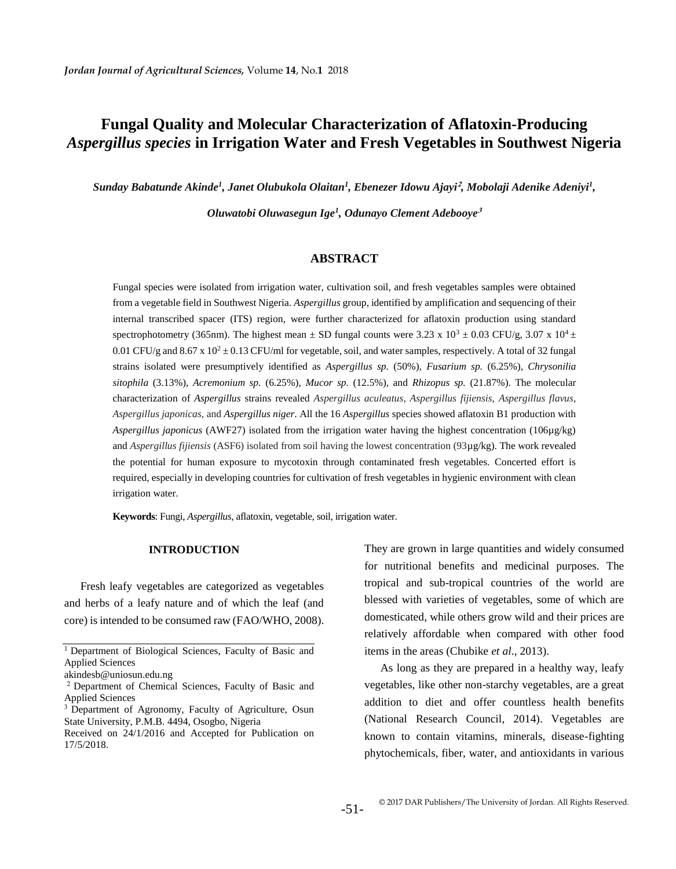# **Fungal Quality and Molecular Characterization of Aflatoxin-Producing**  *Aspergillus species* **in Irrigation Water and Fresh Vegetables in Southwest Nigeria**

*Sunday Babatunde Akinde<sup>1</sup> , Janet Olubukola Olaitan<sup>1</sup> , Ebenezer Idowu Ajayi***<sup>2</sup>** *, Mobolaji Adenike Adeniyi<sup>1</sup> ,* 

*Oluwatobi Oluwasegun Ige<sup>1</sup> , Odunayo Clement Adebooye***<sup>3</sup>**

## **ABSTRACT**

Fungal species were isolated from irrigation water, cultivation soil, and fresh vegetables samples were obtained from a vegetable field in Southwest Nigeria. *Aspergillus* group, identified by amplification and sequencing of their internal transcribed spacer (ITS) region, were further characterized for aflatoxin production using standard spectrophotometry (365nm). The highest mean  $\pm$  SD fungal counts were 3.23 x 10<sup>3</sup>  $\pm$  0.03 CFU/g, 3.07 x 10<sup>4</sup> $\pm$ 0.01 CFU/g and 8.67 x  $10^2 \pm 0.13$  CFU/ml for vegetable, soil, and water samples, respectively. A total of 32 fungal strains isolated were presumptively identified as *Aspergillus sp.* (50%), *Fusarium sp.* (6.25%), *Chrysonilia sitophila* (3.13%), *Acremonium sp.* (6.25%), *Mucor sp.* (12.5%), and *Rhizopus sp.* (21.87%). The molecular characterization of *Aspergillus* strains revealed *Aspergillus aculeatus*, *Aspergillus fijiensis*, *Aspergillus flavus*, *Aspergillus japonicas,* and *Aspergillus niger*. All the 16 *Aspergillus* species showed aflatoxin B1 production with *Aspergillus japonicus* (AWF27) isolated from the irrigation water having the highest concentration (106µg/kg) and *Aspergillus fijiensis* (ASF6) isolated from soil having the lowest concentration (93µg/kg). The work revealed the potential for human exposure to mycotoxin through contaminated fresh vegetables. Concerted effort is required, especially in developing countries for cultivation of fresh vegetables in hygienic environment with clean irrigation water.

**Keywords**: Fungi, *Aspergillus*, aflatoxin, vegetable, soil, irrigation water.

#### **INTRODUCTION**

Fresh leafy vegetables are categorized as vegetables and herbs of a leafy nature and of which the leaf (and core) is intended to be consumed raw (FAO/WHO, 2008).

They are grown in large quantities and widely consumed for nutritional benefits and medicinal purposes. The tropical and sub-tropical countries of the world are blessed with varieties of vegetables, some of which are domesticated, while others grow wild and their prices are relatively affordable when compared with other food items in the areas (Chubike *et al*., 2013).

As long as they are prepared in a healthy way, leafy vegetables, like other non-starchy vegetables, are a great addition to diet and offer countless health benefits (National Research Council, 2014). Vegetables are known to contain vitamins, minerals, disease-fighting phytochemicals, fiber, water, and antioxidants in various

<sup>&</sup>lt;sup>1</sup> Department of Biological Sciences, Faculty of Basic and Applied Sciences

akindesb@uniosun.edu.ng

<sup>2</sup> Department of Chemical Sciences, Faculty of Basic and Applied Sciences

<sup>&</sup>lt;sup>3</sup> Department of Agronomy, Faculty of Agriculture, Osun State University, P.M.B. 4494, Osogbo, Nigeria

Received on 24/1/2016 and Accepted for Publication on 17/5/2018.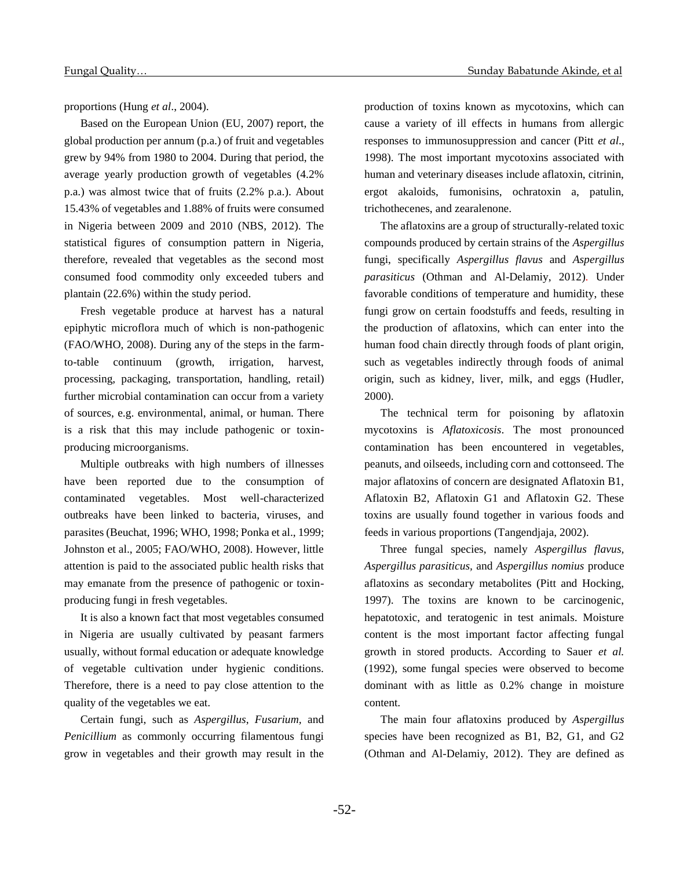proportions (Hung *et al*., 2004).

Based on the European Union (EU, 2007) report, the global production per annum (p.a.) of fruit and vegetables grew by 94% from 1980 to 2004. During that period, the average yearly production growth of vegetables (4.2% p.a.) was almost twice that of fruits (2.2% p.a.). About 15.43% of vegetables and 1.88% of fruits were consumed in Nigeria between 2009 and 2010 (NBS, 2012). The statistical figures of consumption pattern in Nigeria, therefore, revealed that vegetables as the second most consumed food commodity only exceeded tubers and plantain (22.6%) within the study period.

Fresh vegetable produce at harvest has a natural epiphytic microflora much of which is non-pathogenic (FAO/WHO, 2008). During any of the steps in the farmto-table continuum (growth, irrigation, harvest, processing, packaging, transportation, handling, retail) further microbial contamination can occur from a variety of sources, e.g. environmental, animal, or human. There is a risk that this may include pathogenic or toxinproducing microorganisms.

Multiple outbreaks with high numbers of illnesses have been reported due to the consumption of contaminated vegetables. Most well-characterized outbreaks have been linked to bacteria, viruses, and parasites (Beuchat, 1996; WHO, 1998; Ponka et al., 1999; Johnston et al., 2005; FAO/WHO, 2008). However, little attention is paid to the associated public health risks that may emanate from the presence of pathogenic or toxinproducing fungi in fresh vegetables.

It is also a known fact that most vegetables consumed in Nigeria are usually cultivated by peasant farmers usually, without formal education or adequate knowledge of vegetable cultivation under hygienic conditions. Therefore, there is a need to pay close attention to the quality of the vegetables we eat.

Certain fungi, such as *Aspergillus*, *Fusarium,* and *Penicillium* as commonly occurring filamentous fungi grow in vegetables and their growth may result in the

production of toxins known as mycotoxins, which can cause a variety of ill effects in humans from allergic responses to immunosuppression and cancer (Pitt *et al*., 1998). The most important mycotoxins associated with human and veterinary diseases include aflatoxin, citrinin, ergot akaloids, fumonisins, ochratoxin a, patulin, trichothecenes, and zearalenone.

The aflatoxins are a group of structurally-related toxic compounds produced by certain strains of the *Aspergillus* fungi, specifically *Aspergillus flavus* and *Aspergillus parasiticus* (Othman and Al-Delamiy, 2012)*.* Under favorable conditions of temperature and humidity, these fungi grow on certain foodstuffs and feeds, resulting in the production of aflatoxins, which can enter into the human food chain directly through foods of plant origin, such as vegetables indirectly through foods of animal origin, such as kidney, liver, milk, and eggs (Hudler, 2000).

The technical term for poisoning by aflatoxin mycotoxins is *Aflatoxicosis*. The most pronounced contamination has been encountered in vegetables, peanuts, and oilseeds, including corn and cottonseed. The major aflatoxins of concern are designated Aflatoxin B1, Aflatoxin B2, Aflatoxin G1 and Aflatoxin G2. These toxins are usually found together in various foods and feeds in various proportions (Tangendjaja, 2002).

Three fungal species, namely *Aspergillus flavus, Aspergillus parasiticus,* and *Aspergillus nomius* produce aflatoxins as secondary metabolites (Pitt and Hocking, 1997). The toxins are known to be carcinogenic, hepatotoxic, and teratogenic in test animals. Moisture content is the most important factor affecting fungal growth in stored products. According to Sauer *et al.*  (1992), some fungal species were observed to become dominant with as little as 0.2% change in moisture content.

The main four aflatoxins produced by *Aspergillus* species have been recognized as B1, B2, G1, and G2 (Othman and Al-Delamiy, 2012). They are defined as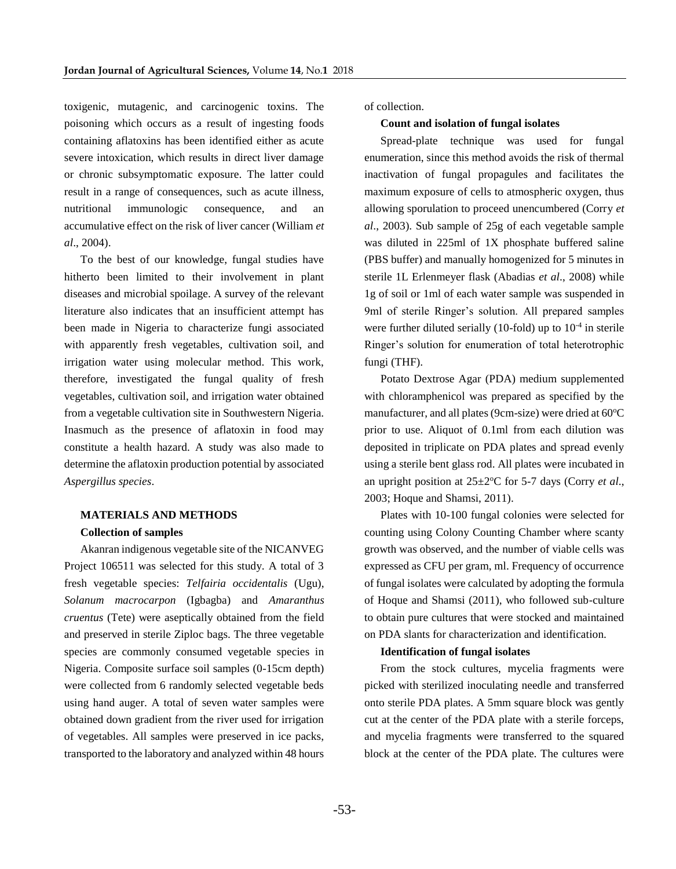toxigenic, mutagenic, and carcinogenic toxins. The poisoning which occurs as a result of ingesting foods containing aflatoxins has been identified either as acute severe intoxication, which results in direct liver damage or chronic subsymptomatic exposure. The latter could result in a range of consequences, such as acute illness, nutritional immunologic consequence, and an accumulative effect on the risk of liver cancer (William *et al*., 2004).

To the best of our knowledge, fungal studies have hitherto been limited to their involvement in plant diseases and microbial spoilage. A survey of the relevant literature also indicates that an insufficient attempt has been made in Nigeria to characterize fungi associated with apparently fresh vegetables, cultivation soil, and irrigation water using molecular method. This work, therefore, investigated the fungal quality of fresh vegetables, cultivation soil, and irrigation water obtained from a vegetable cultivation site in Southwestern Nigeria. Inasmuch as the presence of aflatoxin in food may constitute a health hazard. A study was also made to determine the aflatoxin production potential by associated *Aspergillus species*.

#### **MATERIALS AND METHODS**

#### **Collection of samples**

Akanran indigenous vegetable site of the NICANVEG Project 106511 was selected for this study. A total of 3 fresh vegetable species: *Telfairia occidentalis* (Ugu), *Solanum macrocarpon* (Igbagba) and *Amaranthus cruentus* (Tete) were aseptically obtained from the field and preserved in sterile Ziploc bags. The three vegetable species are commonly consumed vegetable species in Nigeria. Composite surface soil samples (0-15cm depth) were collected from 6 randomly selected vegetable beds using hand auger. A total of seven water samples were obtained down gradient from the river used for irrigation of vegetables. All samples were preserved in ice packs, transported to the laboratory and analyzed within 48 hours

of collection.

#### **Count and isolation of fungal isolates**

Spread-plate technique was used for fungal enumeration, since this method avoids the risk of thermal inactivation of fungal propagules and facilitates the maximum exposure of cells to atmospheric oxygen, thus allowing sporulation to proceed unencumbered (Corry *et al*., 2003). Sub sample of 25g of each vegetable sample was diluted in 225ml of 1X phosphate buffered saline (PBS buffer) and manually homogenized for 5 minutes in sterile 1L Erlenmeyer flask (Abadias *et al*., 2008) while 1g of soil or 1ml of each water sample was suspended in 9ml of sterile Ringer's solution. All prepared samples were further diluted serially (10-fold) up to 10<sup>-4</sup> in sterile Ringer's solution for enumeration of total heterotrophic fungi (THF).

Potato Dextrose Agar (PDA) medium supplemented with chloramphenicol was prepared as specified by the manufacturer, and all plates (9cm-size) were dried at  $60^{\circ}$ C prior to use. Aliquot of 0.1ml from each dilution was deposited in triplicate on PDA plates and spread evenly using a sterile bent glass rod. All plates were incubated in an upright position at  $25 \pm 2$ <sup>o</sup>C for 5-7 days (Corry *et al.*, 2003; Hoque and Shamsi, 2011).

Plates with 10-100 fungal colonies were selected for counting using Colony Counting Chamber where scanty growth was observed, and the number of viable cells was expressed as CFU per gram, ml. Frequency of occurrence of fungal isolates were calculated by adopting the formula of Hoque and Shamsi (2011), who followed sub-culture to obtain pure cultures that were stocked and maintained on PDA slants for characterization and identification.

#### **Identification of fungal isolates**

From the stock cultures, mycelia fragments were picked with sterilized inoculating needle and transferred onto sterile PDA plates. A 5mm square block was gently cut at the center of the PDA plate with a sterile forceps, and mycelia fragments were transferred to the squared block at the center of the PDA plate. The cultures were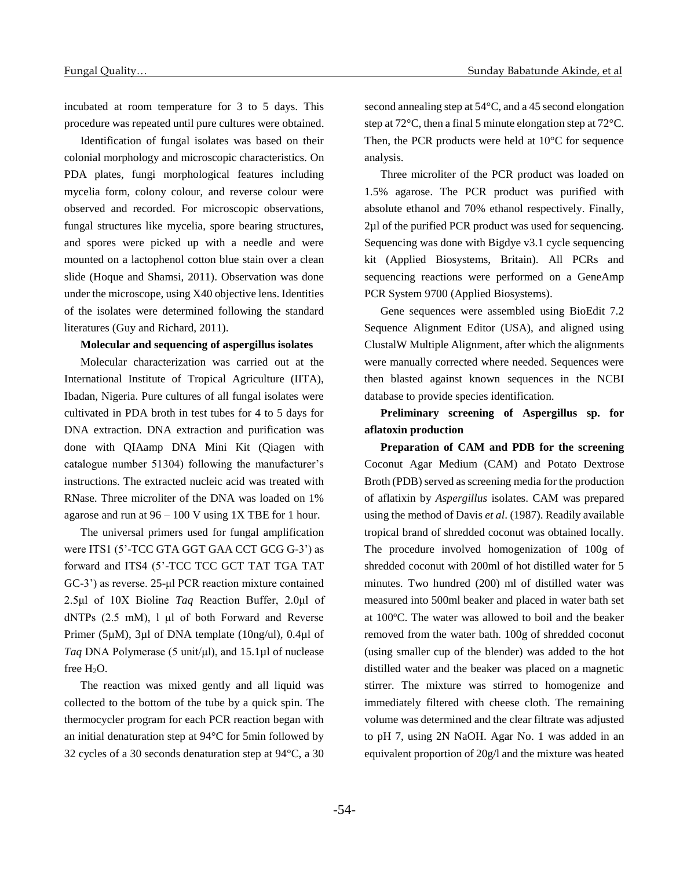incubated at room temperature for 3 to 5 days. This procedure was repeated until pure cultures were obtained.

Identification of fungal isolates was based on their colonial morphology and microscopic characteristics. On PDA plates, fungi morphological features including mycelia form, colony colour, and reverse colour were observed and recorded. For microscopic observations, fungal structures like mycelia, spore bearing structures, and spores were picked up with a needle and were mounted on a lactophenol cotton blue stain over a clean slide (Hoque and Shamsi, 2011). Observation was done under the microscope, using X40 objective lens. Identities of the isolates were determined following the standard literatures (Guy and Richard, 2011).

## **Molecular and sequencing of aspergillus isolates**

Molecular characterization was carried out at the International Institute of Tropical Agriculture (IITA), Ibadan, Nigeria. Pure cultures of all fungal isolates were cultivated in PDA broth in test tubes for 4 to 5 days for DNA extraction. DNA extraction and purification was done with QIAamp DNA Mini Kit (Qiagen with catalogue number 51304) following the manufacturer's instructions. The extracted nucleic acid was treated with RNase. Three microliter of the DNA was loaded on 1% agarose and run at  $96 - 100$  V using 1X TBE for 1 hour.

The universal primers used for fungal amplification were ITS1 (5'-TCC GTA GGT GAA CCT GCG G-3') as forward and ITS4 (5'-TCC TCC GCT TAT TGA TAT GC-3') as reverse. 25-μl PCR reaction mixture contained 2.5μl of 10X Bioline *Taq* Reaction Buffer, 2.0μl of dNTPs (2.5 mM), l μl of both Forward and Reverse Primer (5µM), 3µl of DNA template (10ng/ul), 0.4µl of *Taq* DNA Polymerase (5 unit/μl), and 15.1µl of nuclease free H<sub>2</sub>O.

The reaction was mixed gently and all liquid was collected to the bottom of the tube by a quick spin. The thermocycler program for each PCR reaction began with an initial denaturation step at 94°C for 5min followed by 32 cycles of a 30 seconds denaturation step at 94°C, a 30

second annealing step at 54°C, and a 45 second elongation step at 72°C, then a final 5 minute elongation step at 72°C. Then, the PCR products were held at 10°C for sequence analysis.

Three microliter of the PCR product was loaded on 1.5% agarose. The PCR product was purified with absolute ethanol and 70% ethanol respectively. Finally, 2µl of the purified PCR product was used for sequencing. Sequencing was done with Bigdye v3.1 cycle sequencing kit (Applied Biosystems, Britain). All PCRs and sequencing reactions were performed on a GeneAmp PCR System 9700 (Applied Biosystems).

Gene sequences were assembled using BioEdit 7.2 Sequence Alignment Editor (USA), and aligned using ClustalW Multiple Alignment, after which the alignments were manually corrected where needed. Sequences were then blasted against known sequences in the NCBI database to provide species identification.

**Preliminary screening of Aspergillus sp. for aflatoxin production**

**Preparation of CAM and PDB for the screening** Coconut Agar Medium (CAM) and Potato Dextrose Broth (PDB) served as screening media for the production of aflatixin by *Aspergillus* isolates. CAM was prepared using the method of Davis *et al*. (1987). Readily available tropical brand of shredded coconut was obtained locally. The procedure involved homogenization of 100g of shredded coconut with 200ml of hot distilled water for 5 minutes. Two hundred (200) ml of distilled water was measured into 500ml beaker and placed in water bath set at 100°C. The water was allowed to boil and the beaker removed from the water bath. 100g of shredded coconut (using smaller cup of the blender) was added to the hot distilled water and the beaker was placed on a magnetic stirrer. The mixture was stirred to homogenize and immediately filtered with cheese cloth. The remaining volume was determined and the clear filtrate was adjusted to pH 7, using 2N NaOH. Agar No. 1 was added in an equivalent proportion of 20g/l and the mixture was heated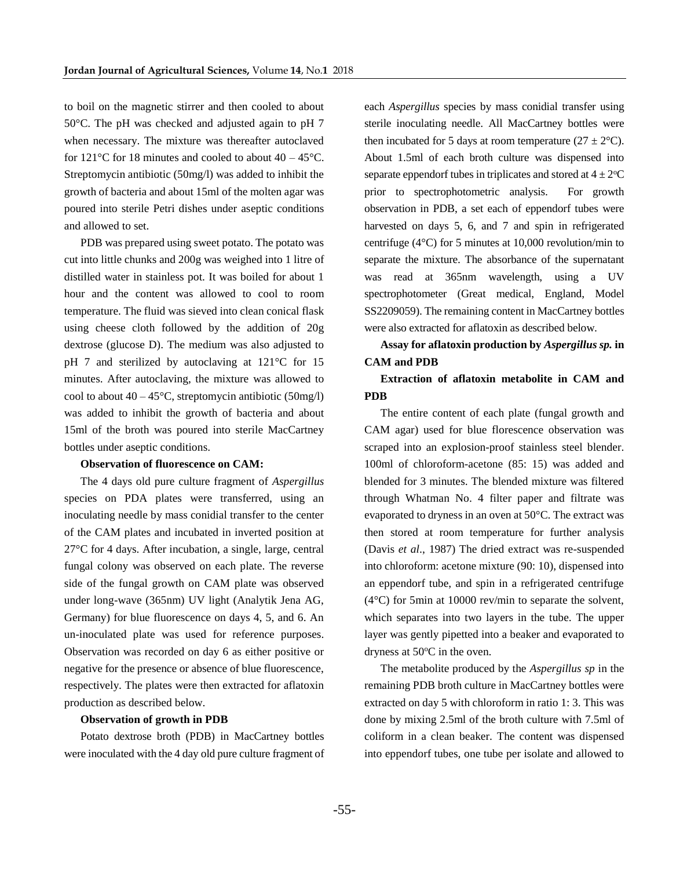to boil on the magnetic stirrer and then cooled to about 50°C. The pH was checked and adjusted again to pH 7 when necessary. The mixture was thereafter autoclaved for 121 $\degree$ C for 18 minutes and cooled to about 40 – 45 $\degree$ C. Streptomycin antibiotic (50mg/l) was added to inhibit the growth of bacteria and about 15ml of the molten agar was poured into sterile Petri dishes under aseptic conditions and allowed to set.

PDB was prepared using sweet potato. The potato was cut into little chunks and 200g was weighed into 1 litre of distilled water in stainless pot. It was boiled for about 1 hour and the content was allowed to cool to room temperature. The fluid was sieved into clean conical flask using cheese cloth followed by the addition of 20g dextrose (glucose D). The medium was also adjusted to pH 7 and sterilized by autoclaving at 121°C for 15 minutes. After autoclaving, the mixture was allowed to cool to about  $40 - 45^{\circ}$ C, streptomycin antibiotic (50mg/l) was added to inhibit the growth of bacteria and about 15ml of the broth was poured into sterile MacCartney bottles under aseptic conditions.

#### **Observation of fluorescence on CAM:**

The 4 days old pure culture fragment of *Aspergillus*  species on PDA plates were transferred, using an inoculating needle by mass conidial transfer to the center of the CAM plates and incubated in inverted position at 27°C for 4 days. After incubation, a single, large, central fungal colony was observed on each plate. The reverse side of the fungal growth on CAM plate was observed under long-wave (365nm) UV light (Analytik Jena AG, Germany) for blue fluorescence on days 4, 5, and 6. An un-inoculated plate was used for reference purposes. Observation was recorded on day 6 as either positive or negative for the presence or absence of blue fluorescence, respectively. The plates were then extracted for aflatoxin production as described below.

#### **Observation of growth in PDB**

Potato dextrose broth (PDB) in MacCartney bottles were inoculated with the 4 day old pure culture fragment of each *Aspergillus* species by mass conidial transfer using sterile inoculating needle. All MacCartney bottles were then incubated for 5 days at room temperature  $(27 \pm 2^{\circ}C)$ . About 1.5ml of each broth culture was dispensed into separate eppendorf tubes in triplicates and stored at  $4 \pm 2$ <sup>o</sup>C prior to spectrophotometric analysis. For growth observation in PDB, a set each of eppendorf tubes were harvested on days 5, 6, and 7 and spin in refrigerated centrifuge (4°C) for 5 minutes at 10,000 revolution/min to separate the mixture. The absorbance of the supernatant was read at 365nm wavelength, using a UV spectrophotometer (Great medical, England, Model SS2209059). The remaining content in MacCartney bottles were also extracted for aflatoxin as described below.

# **Assay for aflatoxin production by** *Aspergillus sp.* **in CAM and PDB**

# **Extraction of aflatoxin metabolite in CAM and PDB**

The entire content of each plate (fungal growth and CAM agar) used for blue florescence observation was scraped into an explosion-proof stainless steel blender. 100ml of chloroform-acetone (85: 15) was added and blended for 3 minutes. The blended mixture was filtered through Whatman No. 4 filter paper and filtrate was evaporated to dryness in an oven at 50°C. The extract was then stored at room temperature for further analysis (Davis *et al*., 1987) The dried extract was re-suspended into chloroform: acetone mixture (90: 10), dispensed into an eppendorf tube, and spin in a refrigerated centrifuge (4°C) for 5min at 10000 rev/min to separate the solvent, which separates into two layers in the tube. The upper layer was gently pipetted into a beaker and evaporated to dryness at  $50^{\circ}$ C in the oven.

The metabolite produced by the *Aspergillus sp* in the remaining PDB broth culture in MacCartney bottles were extracted on day 5 with chloroform in ratio 1: 3. This was done by mixing 2.5ml of the broth culture with 7.5ml of coliform in a clean beaker. The content was dispensed into eppendorf tubes, one tube per isolate and allowed to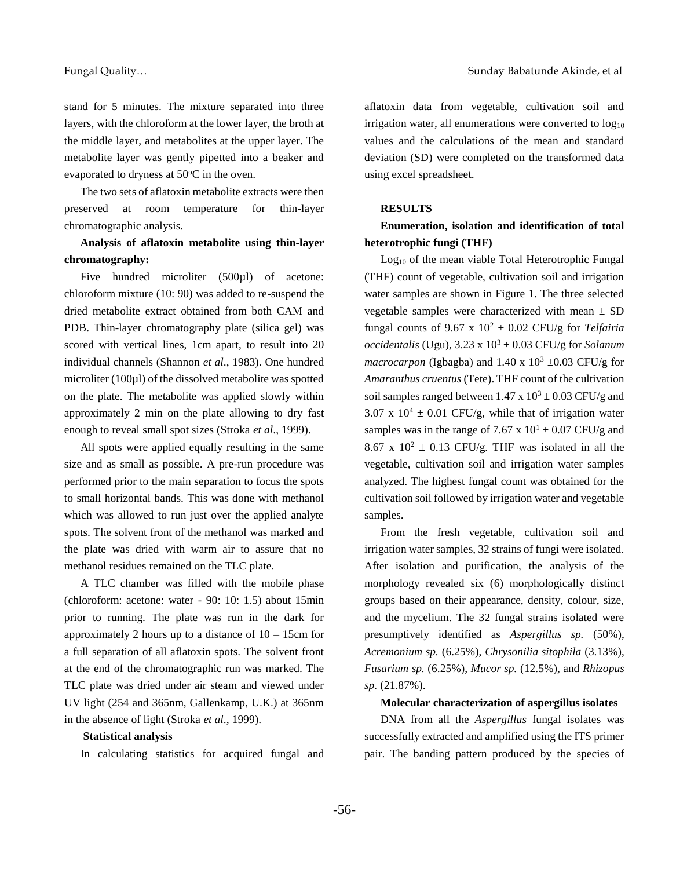stand for 5 minutes. The mixture separated into three layers, with the chloroform at the lower layer, the broth at the middle layer, and metabolites at the upper layer. The metabolite layer was gently pipetted into a beaker and evaporated to dryness at  $50^{\circ}$ C in the oven.

The two sets of aflatoxin metabolite extracts were then preserved at room temperature for thin-layer chromatographic analysis.

**Analysis of aflatoxin metabolite using thin-layer chromatography:**

Five hundred microliter (500µl) of acetone: chloroform mixture (10: 90) was added to re-suspend the dried metabolite extract obtained from both CAM and PDB. Thin-layer chromatography plate (silica gel) was scored with vertical lines, 1cm apart, to result into 20 individual channels (Shannon *et al*., 1983). One hundred microliter (100µl) of the dissolved metabolite was spotted on the plate. The metabolite was applied slowly within approximately 2 min on the plate allowing to dry fast enough to reveal small spot sizes (Stroka *et al*., 1999).

All spots were applied equally resulting in the same size and as small as possible. A pre-run procedure was performed prior to the main separation to focus the spots to small horizontal bands. This was done with methanol which was allowed to run just over the applied analyte spots. The solvent front of the methanol was marked and the plate was dried with warm air to assure that no methanol residues remained on the TLC plate.

A TLC chamber was filled with the mobile phase (chloroform: acetone: water - 90: 10: 1.5) about 15min prior to running. The plate was run in the dark for approximately 2 hours up to a distance of  $10 - 15$ cm for a full separation of all aflatoxin spots. The solvent front at the end of the chromatographic run was marked. The TLC plate was dried under air steam and viewed under UV light (254 and 365nm, Gallenkamp, U.K.) at 365nm in the absence of light (Stroka *et al*., 1999).

#### **Statistical analysis**

In calculating statistics for acquired fungal and

aflatoxin data from vegetable, cultivation soil and irrigation water, all enumerations were converted to  $log_{10}$ values and the calculations of the mean and standard deviation (SD) were completed on the transformed data using excel spreadsheet.

### **RESULTS**

**Enumeration, isolation and identification of total heterotrophic fungi (THF)**

Log<sub>10</sub> of the mean viable Total Heterotrophic Fungal (THF) count of vegetable, cultivation soil and irrigation water samples are shown in Figure 1. The three selected vegetable samples were characterized with mean  $\pm$  SD fungal counts of 9.67 x  $10^2 \pm 0.02$  CFU/g for *Telfairia occidentalis* (Ugu),  $3.23 \times 10^3 \pm 0.03$  CFU/g for *Solanum macrocarpon* (Igbagba) and 1.40 x  $10^3 \pm 0.03$  CFU/g for *Amaranthus cruentus* (Tete). THF count of the cultivation soil samples ranged between  $1.47 \times 10^3 \pm 0.03$  CFU/g and 3.07 x  $10^4 \pm 0.01$  CFU/g, while that of irrigation water samples was in the range of 7.67 x  $10<sup>1</sup> \pm 0.07$  CFU/g and 8.67 x  $10^2 \pm 0.13$  CFU/g. THF was isolated in all the vegetable, cultivation soil and irrigation water samples analyzed. The highest fungal count was obtained for the cultivation soil followed by irrigation water and vegetable samples.

From the fresh vegetable, cultivation soil and irrigation water samples, 32 strains of fungi were isolated. After isolation and purification, the analysis of the morphology revealed six (6) morphologically distinct groups based on their appearance, density, colour, size, and the mycelium. The 32 fungal strains isolated were presumptively identified as *Aspergillus sp.* (50%), *Acremonium sp.* (6.25%), *Chrysonilia sitophila* (3.13%), *Fusarium sp.* (6.25%), *Mucor sp.* (12.5%), and *Rhizopus sp.* (21.87%).

#### **Molecular characterization of aspergillus isolates**

DNA from all the *Aspergillus* fungal isolates was successfully extracted and amplified using the ITS primer pair. The banding pattern produced by the species of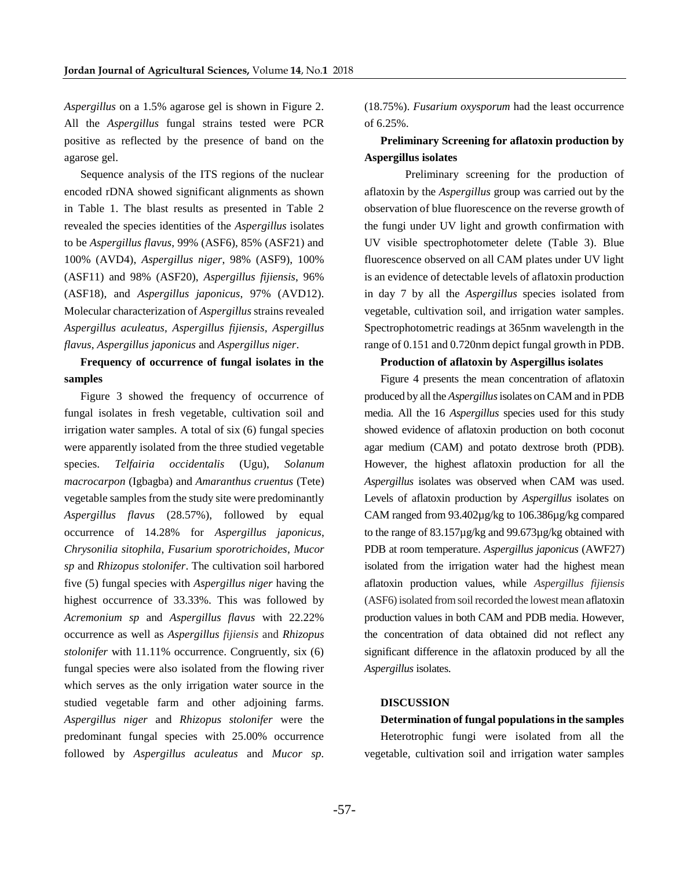*Aspergillus* on a 1.5% agarose gel is shown in Figure 2. All the *Aspergillus* fungal strains tested were PCR positive as reflected by the presence of band on the agarose gel.

Sequence analysis of the ITS regions of the nuclear encoded rDNA showed significant alignments as shown in Table 1. The blast results as presented in Table 2 revealed the species identities of the *Aspergillus* isolates to be *Aspergillus flavus*, 99% (ASF6), 85% (ASF21) and 100% (AVD4), *Aspergillus niger*, 98% (ASF9), 100% (ASF11) and 98% (ASF20), *Aspergillus fijiensis*, 96% (ASF18), and *Aspergillus japonicus*, 97% (AVD12). Molecular characterization of *Aspergillus* strains revealed *Aspergillus aculeatus*, *Aspergillus fijiensis*, *Aspergillus flavus*, *Aspergillus japonicus* and *Aspergillus niger*.

**Frequency of occurrence of fungal isolates in the samples**

Figure 3 showed the frequency of occurrence of fungal isolates in fresh vegetable, cultivation soil and irrigation water samples. A total of six (6) fungal species were apparently isolated from the three studied vegetable species. *Telfairia occidentalis* (Ugu), *Solanum macrocarpon* (Igbagba) and *Amaranthus cruentus* (Tete) vegetable samples from the study site were predominantly *Aspergillus flavus* (28.57%), followed by equal occurrence of 14.28% for *Aspergillus japonicus*, *Chrysonilia sitophila*, *Fusarium sporotrichoides*, *Mucor sp* and *Rhizopus stolonifer*. The cultivation soil harbored five (5) fungal species with *Aspergillus niger* having the highest occurrence of 33.33%. This was followed by *Acremonium sp* and *Aspergillus flavus* with 22.22% occurrence as well as *Aspergillus fijiensis* and *Rhizopus stolonifer* with 11.11% occurrence. Congruently, six (6) fungal species were also isolated from the flowing river which serves as the only irrigation water source in the studied vegetable farm and other adjoining farms. *Aspergillus niger* and *Rhizopus stolonifer* were the predominant fungal species with 25.00% occurrence followed by *Aspergillus aculeatus* and *Mucor sp.*

(18.75%). *Fusarium oxysporum* had the least occurrence of 6.25%.

# **Preliminary Screening for aflatoxin production by Aspergillus isolates**

Preliminary screening for the production of aflatoxin by the *Aspergillus* group was carried out by the observation of blue fluorescence on the reverse growth of the fungi under UV light and growth confirmation with UV visible spectrophotometer delete (Table 3). Blue fluorescence observed on all CAM plates under UV light is an evidence of detectable levels of aflatoxin production in day 7 by all the *Aspergillus* species isolated from vegetable, cultivation soil, and irrigation water samples. Spectrophotometric readings at 365nm wavelength in the range of 0.151 and 0.720nm depict fungal growth in PDB.

## **Production of aflatoxin by Aspergillus isolates**

Figure 4 presents the mean concentration of aflatoxin produced by all the *Aspergillus*isolates on CAM and in PDB media. All the 16 *Aspergillus* species used for this study showed evidence of aflatoxin production on both coconut agar medium (CAM) and potato dextrose broth (PDB). However, the highest aflatoxin production for all the *Aspergillus* isolates was observed when CAM was used. Levels of aflatoxin production by *Aspergillus* isolates on CAM ranged from 93.402µg/kg to 106.386µg/kg compared to the range of 83.157µg/kg and 99.673µg/kg obtained with PDB at room temperature. *Aspergillus japonicus* (AWF27) isolated from the irrigation water had the highest mean aflatoxin production values, while *Aspergillus fijiensis* (ASF6) isolated from soil recorded the lowest mean aflatoxin production values in both CAM and PDB media. However, the concentration of data obtained did not reflect any significant difference in the aflatoxin produced by all the *Aspergillus* isolates.

#### **DISCUSSION**

**Determination of fungal populations in the samples** Heterotrophic fungi were isolated from all the vegetable, cultivation soil and irrigation water samples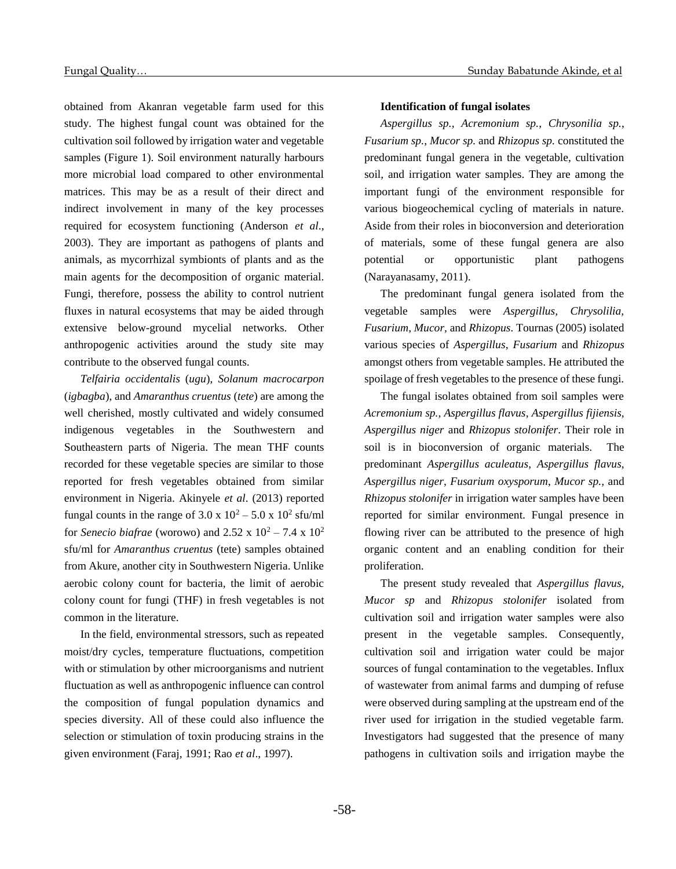obtained from Akanran vegetable farm used for this study. The highest fungal count was obtained for the cultivation soil followed by irrigation water and vegetable samples (Figure 1). Soil environment naturally harbours more microbial load compared to other environmental matrices. This may be as a result of their direct and indirect involvement in many of the key processes required for ecosystem functioning (Anderson *et al*., 2003). They are important as pathogens of plants and animals, as mycorrhizal symbionts of plants and as the main agents for the decomposition of organic material. Fungi, therefore, possess the ability to control nutrient fluxes in natural ecosystems that may be aided through extensive below-ground mycelial networks. Other anthropogenic activities around the study site may contribute to the observed fungal counts.

*Telfairia occidentalis* (*ugu*), *Solanum macrocarpon* (*igbagba*), and *Amaranthus cruentus* (*tete*) are among the well cherished, mostly cultivated and widely consumed indigenous vegetables in the Southwestern and Southeastern parts of Nigeria. The mean THF counts recorded for these vegetable species are similar to those reported for fresh vegetables obtained from similar environment in Nigeria. Akinyele *et al*. (2013) reported fungal counts in the range of  $3.0 \times 10^2 - 5.0 \times 10^2$  sfu/ml for *Senecio biafrae* (worowo) and 2.52 x  $10^2 - 7.4$  x  $10^2$ sfu/ml for *Amaranthus cruentus* (tete) samples obtained from Akure, another city in Southwestern Nigeria. Unlike aerobic colony count for bacteria, the limit of aerobic colony count for fungi (THF) in fresh vegetables is not common in the literature.

In the field, environmental stressors, such as repeated moist/dry cycles, temperature fluctuations, competition with or stimulation by other microorganisms and nutrient fluctuation as well as anthropogenic influence can control the composition of fungal population dynamics and species diversity. All of these could also influence the selection or stimulation of toxin producing strains in the given environment (Faraj, 1991; Rao *et al*., 1997).

#### **Identification of fungal isolates**

*Aspergillus sp.*, *Acremonium sp.*, *Chrysonilia sp.*, *Fusarium sp.*, *Mucor sp.* and *Rhizopus sp.* constituted the predominant fungal genera in the vegetable, cultivation soil, and irrigation water samples. They are among the important fungi of the environment responsible for various biogeochemical cycling of materials in nature. Aside from their roles in bioconversion and deterioration of materials, some of these fungal genera are also potential or opportunistic plant pathogens (Narayanasamy, 2011).

The predominant fungal genera isolated from the vegetable samples were *Aspergillus, Chrysolilia, Fusarium*, *Mucor,* and *Rhizopus*. Tournas (2005) isolated various species of *Aspergillus*, *Fusarium* and *Rhizopus* amongst others from vegetable samples. He attributed the spoilage of fresh vegetables to the presence of these fungi.

The fungal isolates obtained from soil samples were *Acremonium sp., Aspergillus flavus*, *Aspergillus fijiensis, Aspergillus niger* and *Rhizopus stolonifer*. Their role in soil is in bioconversion of organic materials. The predominant *Aspergillus aculeatus*, *Aspergillus flavus*, *Aspergillus niger*, *Fusarium oxysporum*, *Mucor sp.,* and *Rhizopus stolonifer* in irrigation water samples have been reported for similar environment. Fungal presence in flowing river can be attributed to the presence of high organic content and an enabling condition for their proliferation.

The present study revealed that *Aspergillus flavus, Mucor sp* and *Rhizopus stolonifer* isolated from cultivation soil and irrigation water samples were also present in the vegetable samples. Consequently, cultivation soil and irrigation water could be major sources of fungal contamination to the vegetables. Influx of wastewater from animal farms and dumping of refuse were observed during sampling at the upstream end of the river used for irrigation in the studied vegetable farm. Investigators had suggested that the presence of many pathogens in cultivation soils and irrigation maybe the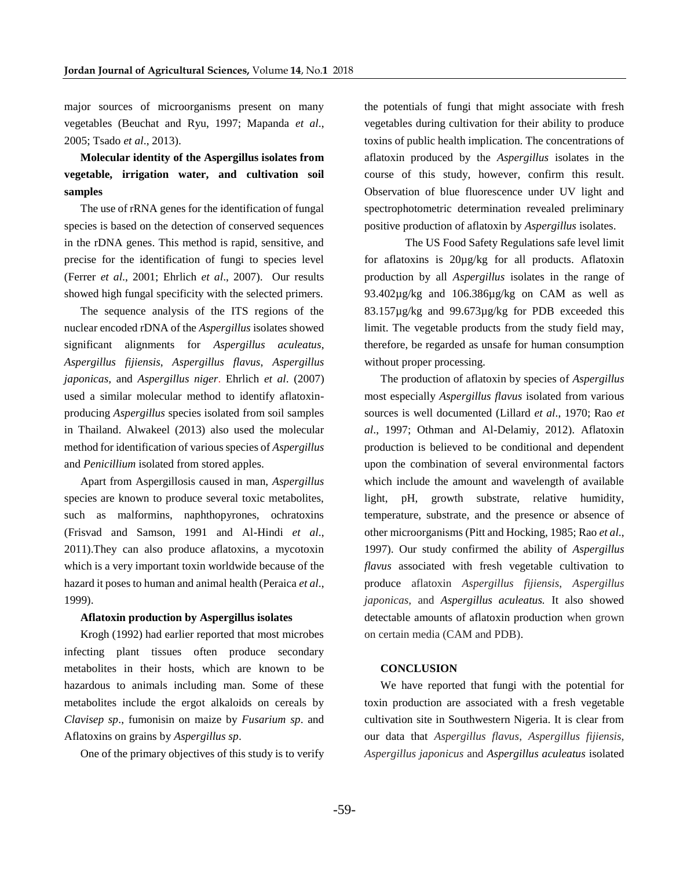major sources of microorganisms present on many vegetables (Beuchat and Ryu, 1997; Mapanda *et al*., 2005; Tsado *et al*., 2013).

**Molecular identity of the Aspergillus isolates from vegetable, irrigation water, and cultivation soil samples**

The use of rRNA genes for the identification of fungal species is based on the detection of conserved sequences in the rDNA genes. This method is rapid, sensitive, and precise for the identification of fungi to species level (Ferrer *et al*., 2001; Ehrlich *et al*., 2007). Our results showed high fungal specificity with the selected primers.

The sequence analysis of the ITS regions of the nuclear encoded rDNA of the *Aspergillus* isolates showed significant alignments for *Aspergillus aculeatus*, *Aspergillus fijiensis*, *Aspergillus flavus*, *Aspergillus japonicas,* and *Aspergillus niger*. Ehrlich *et al*. (2007) used a similar molecular method to identify aflatoxinproducing *Aspergillus* species isolated from soil samples in Thailand. Alwakeel (2013) also used the molecular method for identification of various species of *Aspergillus* and *Penicillium* isolated from stored apples.

Apart from Aspergillosis caused in man, *Aspergillus* species are known to produce several toxic metabolites, such as malformins, naphthopyrones, ochratoxins (Frisvad and Samson, 1991 and Al-Hindi *et al*., 2011).They can also produce aflatoxins, a mycotoxin which is a very important toxin worldwide because of the hazard it poses to human and animal health (Peraica *et al*., 1999).

#### **Aflatoxin production by Aspergillus isolates**

Krogh (1992) had earlier reported that most microbes infecting plant tissues often produce secondary metabolites in their hosts, which are known to be hazardous to animals including man. Some of these metabolites include the ergot alkaloids on cereals by *Clavisep sp*., fumonisin on maize by *Fusarium sp*. and Aflatoxins on grains by *Aspergillus sp*.

One of the primary objectives of this study is to verify

the potentials of fungi that might associate with fresh vegetables during cultivation for their ability to produce toxins of public health implication. The concentrations of aflatoxin produced by the *Aspergillus* isolates in the course of this study, however, confirm this result. Observation of blue fluorescence under UV light and spectrophotometric determination revealed preliminary positive production of aflatoxin by *Aspergillus* isolates.

The US Food Safety Regulations safe level limit for aflatoxins is 20µg/kg for all products. Aflatoxin production by all *Aspergillus* isolates in the range of 93.402µg/kg and 106.386µg/kg on CAM as well as 83.157µg/kg and 99.673µg/kg for PDB exceeded this limit. The vegetable products from the study field may, therefore, be regarded as unsafe for human consumption without proper processing.

The production of aflatoxin by species of *Aspergillus* most especially *Aspergillus flavus* isolated from various sources is well documented (Lillard *et al*., 1970; Rao *et al*., 1997; Othman and Al-Delamiy, 2012). Aflatoxin production is believed to be conditional and dependent upon the combination of several environmental factors which include the amount and wavelength of available light, pH, growth substrate, relative humidity, temperature, substrate, and the presence or absence of other microorganisms (Pitt and Hocking, 1985; Rao *et al*., 1997). Our study confirmed the ability of *Aspergillus flavus* associated with fresh vegetable cultivation to produce aflatoxin *Aspergillus fijiensis*, *Aspergillus japonicas,* and *Aspergillus aculeatus.* It also showed detectable amounts of aflatoxin production when grown on certain media (CAM and PDB).

#### **CONCLUSION**

We have reported that fungi with the potential for toxin production are associated with a fresh vegetable cultivation site in Southwestern Nigeria. It is clear from our data that *Aspergillus flavus*, *Aspergillus fijiensis*, *Aspergillus japonicus* and *Aspergillus aculeatus* isolated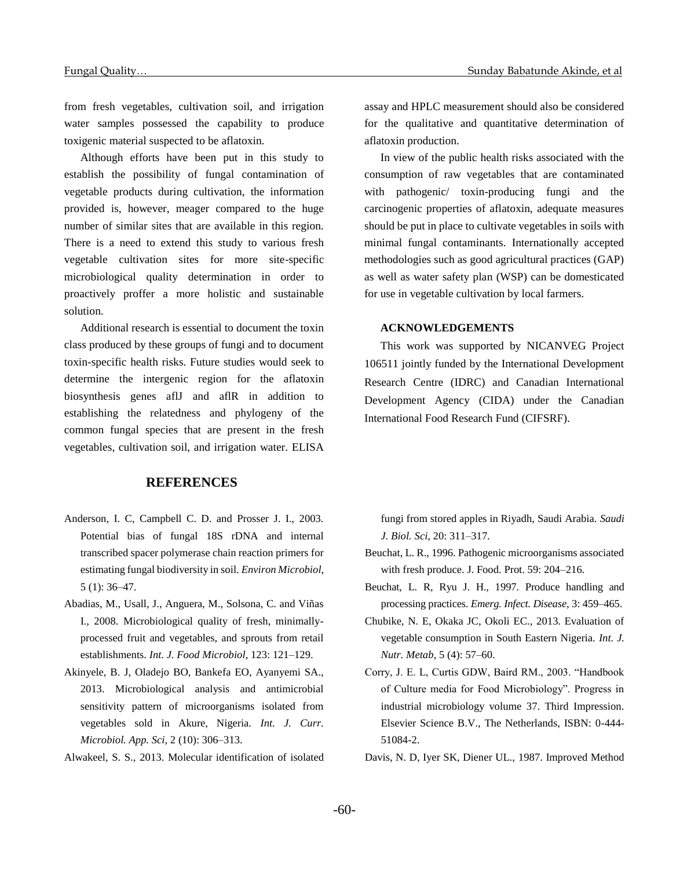from fresh vegetables, cultivation soil, and irrigation water samples possessed the capability to produce toxigenic material suspected to be aflatoxin.

Although efforts have been put in this study to establish the possibility of fungal contamination of vegetable products during cultivation, the information provided is, however, meager compared to the huge number of similar sites that are available in this region. There is a need to extend this study to various fresh vegetable cultivation sites for more site-specific microbiological quality determination in order to proactively proffer a more holistic and sustainable solution.

Additional research is essential to document the toxin class produced by these groups of fungi and to document toxin-specific health risks. Future studies would seek to determine the intergenic region for the aflatoxin biosynthesis genes aflJ and aflR in addition to establishing the relatedness and phylogeny of the common fungal species that are present in the fresh vegetables, cultivation soil, and irrigation water. ELISA

## **REFERENCES**

- Anderson, I. C, Campbell C. D. and Prosser J. I., 2003. Potential bias of fungal 18S rDNA and internal transcribed spacer polymerase chain reaction primers for estimating fungal biodiversity in soil. *Environ Microbiol*, 5 (1): 36–47.
- Abadias, M., Usall, J., Anguera, M., Solsona, C. and Viñas I., 2008. Microbiological quality of fresh, minimallyprocessed fruit and vegetables, and sprouts from retail establishments. *Int. J. Food Microbiol*, 123: 121–129.
- Akinyele, B. J, Oladejo BO, Bankefa EO, Ayanyemi SA., 2013. Microbiological analysis and antimicrobial sensitivity pattern of microorganisms isolated from vegetables sold in Akure, Nigeria. *Int. J. Curr. Microbiol. App. Sci,* 2 (10): 306–313.
- Alwakeel, S. S., 2013. Molecular identification of isolated

assay and HPLC measurement should also be considered for the qualitative and quantitative determination of aflatoxin production.

In view of the public health risks associated with the consumption of raw vegetables that are contaminated with pathogenic/ toxin-producing fungi and the carcinogenic properties of aflatoxin, adequate measures should be put in place to cultivate vegetables in soils with minimal fungal contaminants. Internationally accepted methodologies such as good agricultural practices (GAP) as well as water safety plan (WSP) can be domesticated for use in vegetable cultivation by local farmers.

## **ACKNOWLEDGEMENTS**

This work was supported by NICANVEG Project 106511 jointly funded by the International Development Research Centre (IDRC) and Canadian International Development Agency (CIDA) under the Canadian International Food Research Fund (CIFSRF).

fungi from stored apples in Riyadh, Saudi Arabia. *Saudi J. Biol. Sci*, 20: 311–317.

- Beuchat, L. R., 1996. Pathogenic microorganisms associated with fresh produce. J. Food. Prot. 59: 204–216.
- Beuchat, L. R, Ryu J. H., 1997. Produce handling and processing practices. *Emerg. Infect. Disease,* 3: 459–465.
- Chubike, N. E, Okaka JC, Okoli EC., 2013. Evaluation of vegetable consumption in South Eastern Nigeria. *Int. J. Nutr. Metab*, 5 (4): 57–60.
- Corry, J. E. L, Curtis GDW, Baird RM., 2003. "Handbook of Culture media for Food Microbiology". Progress in industrial microbiology volume 37. Third Impression. Elsevier Science B.V., The Netherlands, ISBN: 0-444- 51084-2.
- Davis, N. D, Iyer SK, Diener UL., 1987. Improved Method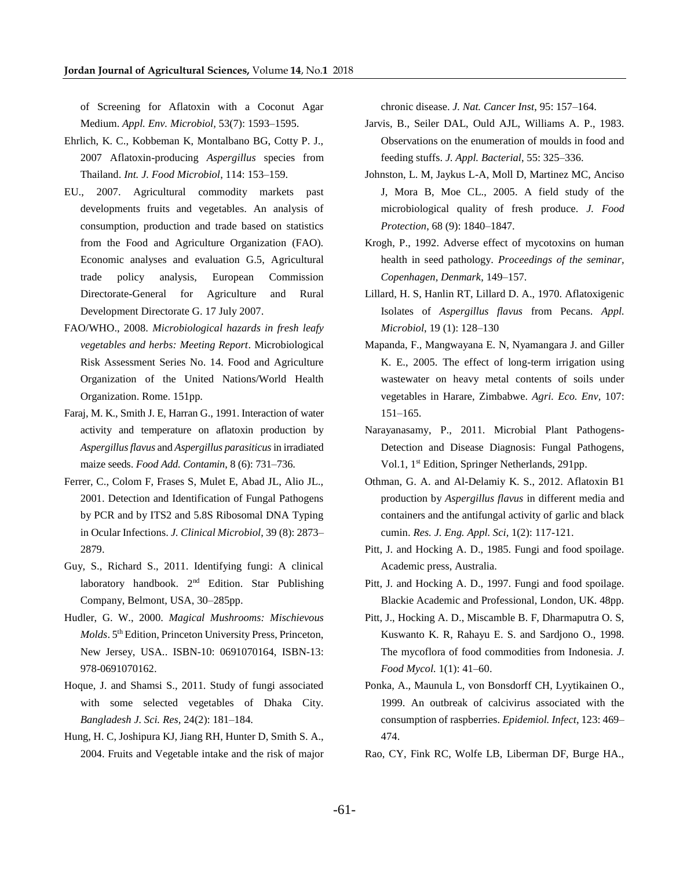of Screening for Aflatoxin with a Coconut Agar Medium. *Appl. Env. Microbiol,* 53(7): 1593–1595.

- Ehrlich, K. C., Kobbeman K, Montalbano BG, Cotty P. J., 2007 Aflatoxin-producing *Aspergillus* species from Thailand. *Int. J. Food Microbiol*, 114: 153–159.
- EU., 2007. Agricultural commodity markets past developments fruits and vegetables. An analysis of consumption, production and trade based on statistics from the Food and Agriculture Organization (FAO). Economic analyses and evaluation G.5, Agricultural trade policy analysis, European Commission Directorate-General for Agriculture and Rural Development Directorate G. 17 July 2007.
- FAO/WHO., 2008. *Microbiological hazards in fresh leafy vegetables and herbs: Meeting Report*. Microbiological Risk Assessment Series No. 14. Food and Agriculture Organization of the United Nations/World Health Organization. Rome. 151pp.
- Faraj, M. K., Smith J. E, Harran G., 1991. Interaction of water activity and temperature on aflatoxin production by *Aspergillus flavus* and *Aspergillus parasiticus*in irradiated maize seeds. *Food Add. Contamin*, 8 (6): 731–736.
- Ferrer, C., Colom F, Frases S, Mulet E, Abad JL, Alio JL., 2001. Detection and Identification of Fungal Pathogens by PCR and by ITS2 and 5.8S Ribosomal DNA Typing in Ocular Infections. *J. Clinical Microbiol*, 39 (8): 2873– 2879.
- Guy, S., Richard S., 2011. Identifying fungi: A clinical laboratory handbook.  $2<sup>nd</sup>$  Edition. Star Publishing Company, Belmont, USA, 30–285pp.
- Hudler, G. W., 2000. *Magical Mushrooms: Mischievous Molds*. 5th Edition, Princeton University Press, Princeton, New Jersey, USA.. ISBN-10: 0691070164, ISBN-13: 978-0691070162.
- Hoque, J. and Shamsi S., 2011. Study of fungi associated with some selected vegetables of Dhaka City. *Bangladesh J. Sci. Res,* 24(2): 181–184.
- Hung, H. C, Joshipura KJ, Jiang RH, Hunter D, Smith S. A., 2004. Fruits and Vegetable intake and the risk of major

chronic disease. *J. Nat. Cancer Inst*, 95: 157–164.

- Jarvis, B., Seiler DAL, Ould AJL, Williams A. P., 1983. Observations on the enumeration of moulds in food and feeding stuffs. *J. Appl. Bacterial*, 55: 325–336.
- Johnston, L. M, Jaykus L-A, Moll D, Martinez MC, Anciso J, Mora B, Moe CL., 2005. A field study of the microbiological quality of fresh produce. *J. Food Protection*, 68 (9): 1840–1847.
- Krogh, P., 1992. Adverse effect of mycotoxins on human health in seed pathology. *Proceedings of the seminar, Copenhagen, Denmark*, 149–157.
- Lillard, H. S, Hanlin RT, Lillard D. A., 1970. Aflatoxigenic Isolates of *Aspergillus flavus* from Pecans. *Appl. Microbiol*, 19 (1): 128–130
- Mapanda, F., Mangwayana E. N, Nyamangara J. and Giller K. E., 2005. The effect of long-term irrigation using wastewater on heavy metal contents of soils under vegetables in Harare, Zimbabwe. *Agri. Eco. Env,* 107: 151–165.
- Narayanasamy, P., 2011. Microbial Plant Pathogens-Detection and Disease Diagnosis: Fungal Pathogens, Vol.1, 1st Edition, Springer Netherlands, 291pp.
- Othman, G. A. and Al-Delamiy K. S., 2012. Aflatoxin B1 production by *Aspergillus flavus* in different media and containers and the antifungal activity of garlic and black cumin. *Res. J. Eng. Appl. Sci,* 1(2): 117-121.
- Pitt, J. and Hocking A. D., 1985. Fungi and food spoilage. Academic press, Australia.
- Pitt, J. and Hocking A. D., 1997. Fungi and food spoilage. Blackie Academic and Professional, London, UK. 48pp.
- Pitt, J., Hocking A. D., Miscamble B. F, Dharmaputra O. S, Kuswanto K. R, Rahayu E. S. and Sardjono O., 1998. The mycoflora of food commodities from Indonesia*. J. Food Mycol.* 1(1): 41–60.
- Ponka, A., Maunula L, von Bonsdorff CH, Lyytikainen O., 1999. An outbreak of calcivirus associated with the consumption of raspberries. *Epidemiol. Infect*, 123: 469– 474.
- Rao, CY, Fink RC, Wolfe LB, Liberman DF, Burge HA.,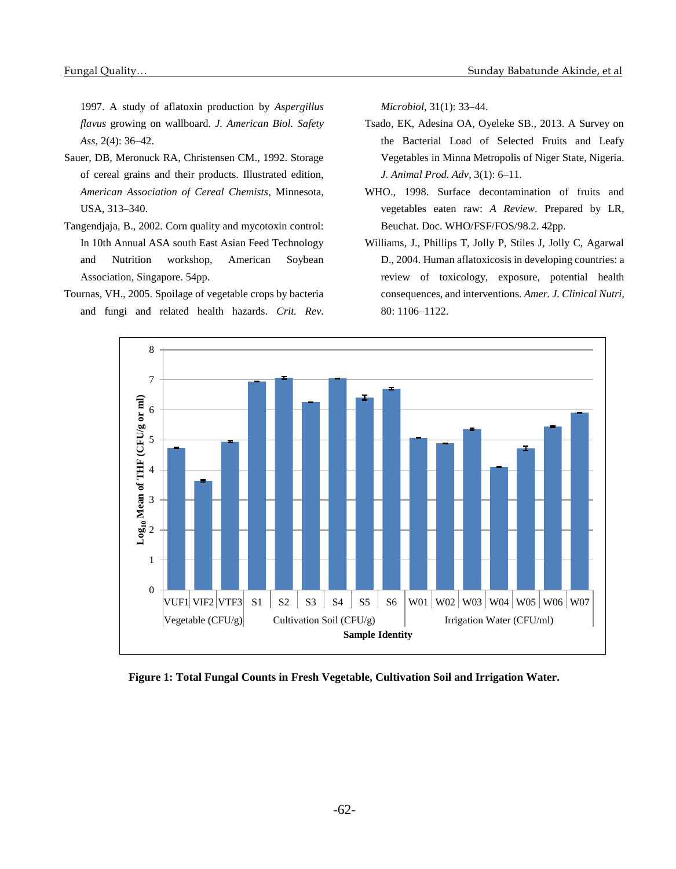1997. A study of aflatoxin production by *Aspergillus flavus* growing on wallboard. *J. American Biol. Safety Ass*, 2(4): 36–42.

- Sauer, DB, Meronuck RA, Christensen CM., 1992. Storage of cereal grains and their products. Illustrated edition, *American Association of Cereal Chemists*, Minnesota, USA, 313–340.
- Tangendjaja, B., 2002. Corn quality and mycotoxin control: In 10th Annual ASA south East Asian Feed Technology and Nutrition workshop, American Soybean Association, Singapore. 54pp.
- Tournas, VH., 2005. Spoilage of vegetable crops by bacteria and fungi and related health hazards. *Crit. Rev.*

*Microbiol*, 31(1): 33–44.

- Tsado, EK, Adesina OA, Oyeleke SB., 2013. A Survey on the Bacterial Load of Selected Fruits and Leafy Vegetables in Minna Metropolis of Niger State, Nigeria. *J. Animal Prod. Adv*, 3(1): 6–11.
- WHO., 1998. Surface decontamination of fruits and vegetables eaten raw: *A Review*. Prepared by LR, Beuchat. Doc. WHO/FSF/FOS/98.2. 42pp.
- Williams, J., Phillips T, Jolly P, Stiles J, Jolly C, Agarwal D., 2004. Human aflatoxicosis in developing countries: a review of toxicology, exposure, potential health consequences, and interventions. *Amer. J. Clinical Nutri,* 80: 1106–1122.



**Figure 1: Total Fungal Counts in Fresh Vegetable, Cultivation Soil and Irrigation Water.**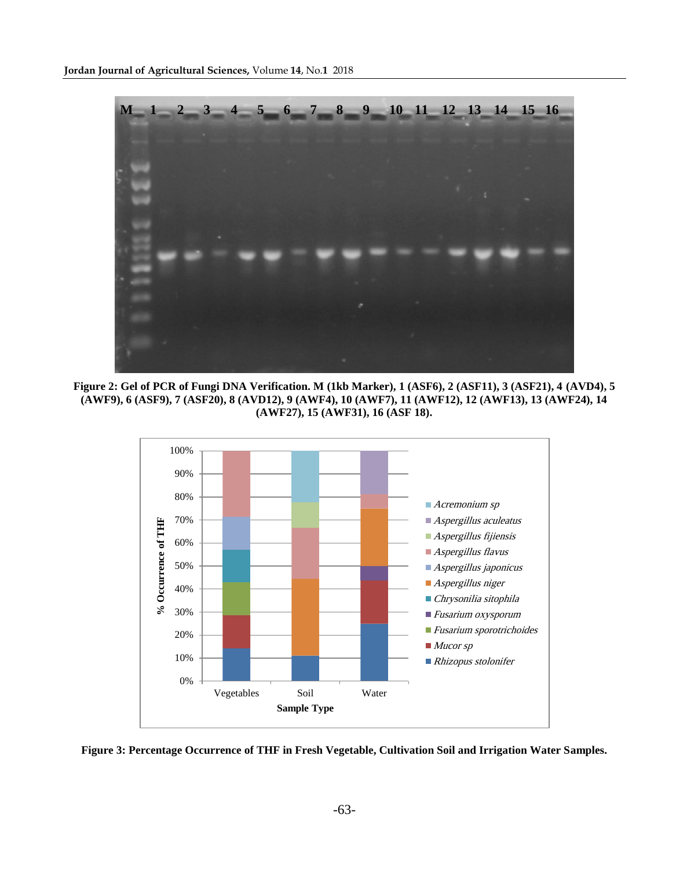

**Figure 2: Gel of PCR of Fungi DNA Verification. M (1kb Marker), 1 (ASF6), 2 (ASF11), 3 (ASF21), 4 (AVD4), 5 (AWF9), 6 (ASF9), 7 (ASF20), 8 (AVD12), 9 (AWF4), 10 (AWF7), 11 (AWF12), 12 (AWF13), 13 (AWF24), 14 (AWF27), 15 (AWF31), 16 (ASF 18).**



**Figure 3: Percentage Occurrence of THF in Fresh Vegetable, Cultivation Soil and Irrigation Water Samples.**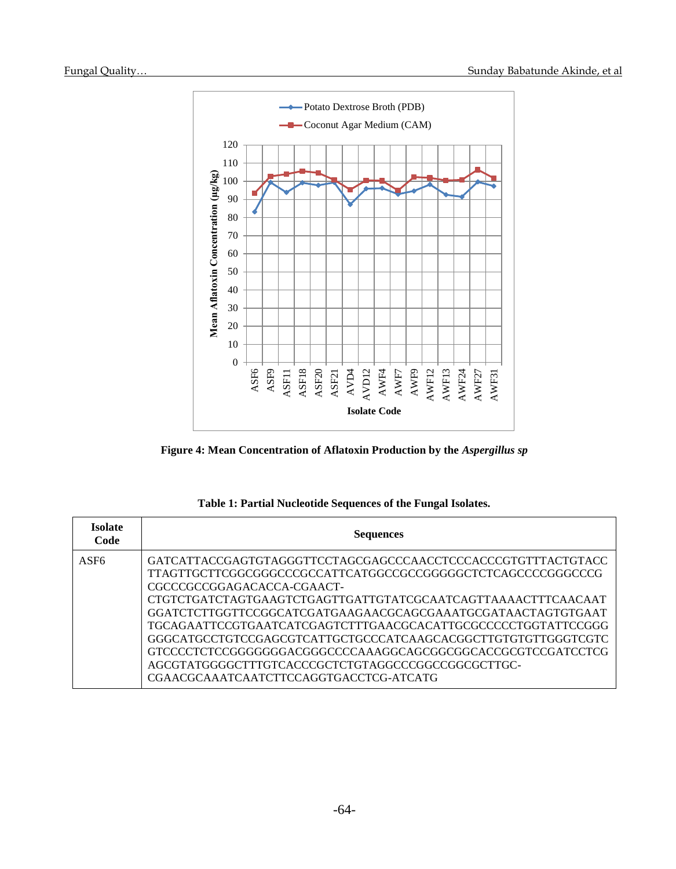Г

Т





|  |  | Table 1: Partial Nucleotide Sequences of the Fungal Isolates. |
|--|--|---------------------------------------------------------------|
|--|--|---------------------------------------------------------------|

| Isolate<br>Code  | <b>Sequences</b>                                                                                                                                                                                                                                                                                                                                                                                                                                                   |  |  |  |
|------------------|--------------------------------------------------------------------------------------------------------------------------------------------------------------------------------------------------------------------------------------------------------------------------------------------------------------------------------------------------------------------------------------------------------------------------------------------------------------------|--|--|--|
| ASF <sub>6</sub> | GATCATTACCGAGTGTAGGGTTCCTAGCGAGCCCAACCTCCCACCCGTGTTTACTGTACC<br>TTAGTTGCTTCGGCGGGCCCGCCATTCATGGCCGGCGGGGGCTCTCAGCCCCGGGCCCG<br>CGCCCGCCGGAGACACCA-CGAACT-<br>CTGTCTGATCTAGTGAAGTCTGAGTTGATTGTATCGCAATCAGTTAAAACTTTCAACAAT<br>GGATCTCTTGGTTCCGGCATCGATGAAGAACGCAGCGAAATGCGATAACTAGTGTGAAT<br>GGGCATGCCTGTCCGAGCGTCATTGCTGCCCATCAAGCACGGCTTGTGTGTTGGGTCGTC<br>GTCCCCTCTCCGGGGGGGGACGGGCCCCAAAGGCAGCGGCGGCACCGCGTCCGATCCTCG<br>CGAACGCAAATCAATCTTCCAGGTGACCTCG-ATCATG |  |  |  |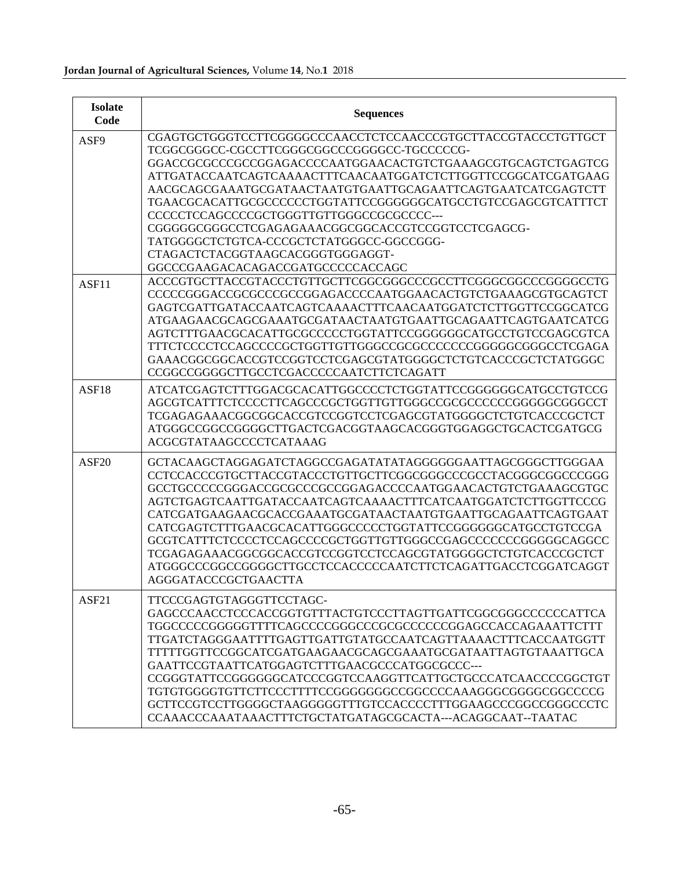| <b>Isolate</b><br>Code | <b>Sequences</b>                                                                                                                                                                                                                                                                                                                                                                                                                                                                                                                                                                                             |
|------------------------|--------------------------------------------------------------------------------------------------------------------------------------------------------------------------------------------------------------------------------------------------------------------------------------------------------------------------------------------------------------------------------------------------------------------------------------------------------------------------------------------------------------------------------------------------------------------------------------------------------------|
| ASF9                   | CGAGTGCTGGGTCCTTCGGGGCCCAACCTCTCCAACCCGTGCTTACCGTACCCTGTTGCT<br>TCGGCGGGCC-CGCCTTCGGGCGGCCCGGGGCC-TGCCCCCG-<br>GGACCGCCCCCGCCGGAGACCCCAATGGAACACTGTCTGAAAGCGTGCAGTCTGAGTCG<br>ATTGATACCAATCAGTCAAAACTTTCAACAATGGATCTCTTGGTTCCGGCATCGATGAAG<br>AACGCAGCGAAATGCGATAACTAATGTGAATTGCAGAATTCAGTGAATCATCGAGTCTT<br>TGAACGCACATTGCGCCCCCCTGGTATTCCGGGGGGCATGCCTGTCCGAGCGTCATTTCT<br>CCCCCTCCAGCCCCGCTGGGTTGTTGGGCCGCGCCCC---<br>CGGGGGGGGCCTCGAGAGAAACGGCGGCACCGTCCGGTCCTCGAGCG-<br>TATGGGGCTCTGTCA-CCCGCTCTATGGGCC-GGCCGGG-<br>CTAGACTCTACGGTAAGCACGGGTGGGAGGT-<br>GGCCCGAAGACACAGACCGATGCCCCCACCAGC               |
| ASF11                  | ACCCGTGCTTACCGTACCCTGTTGCTTCGGCGGGCCCGCCTTCGGGCGGCCCGGGGCCTG<br>CCCCCGGGACCGCGCCCGCCGGAGACCCCAATGGAACACTGTCTGAAAGCGTGCAGTCT<br>GAGTCGATTGATACCAATCAGTCAAAACTTTCAACAATGGATCTCTTGGTTCCGGCATCG<br>ATGAAGAACGCAGCGAAATGCGATAACTAATGTGAATTGCAGAATTCAGTGAATCATCG<br>AGTCTTTGAACGCACATTGCGCCCCCTGGTATTCCGGGGGCATGCCTGTCCGAGCGTCA<br>GAAACGGCGGCACCGTCCGGTCCTCGAGCGTATGGGGCTCTGTCACCCGCTCTATGGGC<br>CCGGCCGGGGCTTGCCTCGACCCCCAATCTTCTCAGATT                                                                                                                                                                          |
| ASF18                  | ATCATCGAGTCTTTGGACGCACATTGGCCCCTCTGGTATTCCGGGGGGCATGCCTGTCCG<br>AGCGTCATTTCTCCCCTTCAGCCCGCTGGTTGTTGGGCCGCGCCCCCCGGGGGGCGGCCT<br>TCGAGAGAAACGGCGGCACCGTCCGGTCCTCGAGCGTATGGGGCTCTGTCACCCGCTCT<br>ATGGGCCGGCCGGGCCTTGACTCGACGGTAAGCACGGGTGGAGGCTGCACTCGATGCG<br>ACGCGTATAAGCCCCTCATAAAG                                                                                                                                                                                                                                                                                                                         |
| AST20                  | GCTACAAGCTAGGAGATCTAGGCCGAGATATATAGGGGGGAATTAGCGGGCTTGGGAA<br>CCTCCACCCGTGCTTACCGTACCCTGTTGCTTCGGCGGGCCCGCCTACGGGCGGCCCGGG<br>GCCTGCCCCCGGGACCGCCCCCCCGGAGACCCCAATGGAACACTGTCTGAAAGCGTGC<br>AGTCTGAGTCAATTGATACCAATCAGTCAAAACTTTCATCAATGGATCTCTTGGTTCCCG<br>CATCGATGAAGAACGCACCGAAATGCGATAACTAATGTGAATTGCAGAATTCAGTGAAT<br>CATCGAGTCTTTGAACGCACATTGGGCCCCCTGGTATTCCGGGGGCATGCCTGTCCGA<br>GCGTCATTTCTCCCCTCCAGCCCCGCTGGTTGTTGGGCCGAGCCCCCCCGGGGGCAGGCC<br>TCGAGAGAAACGGCGGCACCGTCCGGTCCTCCAGCGTATGGGGCTCTGTCACCCGCTCT<br>ATGGGCCCGGCCGGGGCTTGCCTCCACCCCCAATCTTCTCAGATTGACCTCGGATCAGGT<br>AGGGATACCCGCTGAACTTA |
| ASF <sub>21</sub>      | TTCCCGAGTGTAGGGTTCCTAGC-<br>GAGCCCAACCTCCCACCGGTGTTTACTGTCCCTTAGTTGATTCGGCGGGCCCCCCATTCA<br>TGGCCCCCGGGGGTTTTCAGCCCCGGGCCCCGCGCCCCCCGGAGCCACCAGAAATTCTTT<br>TTGATCTAGGGAATTTTGAGTTGATTGTATGCCAATCAGTTAAAACTTTCACCAATGGTT<br>TTTTTGGTTCCGGCATCGATGAAGAACGCAGCGAAATGCGATAATTAGTGTAAATTGCA<br>GAATTCCGTAATTCATGGAGTCTTTGAACGCCCATGGCGCCC---<br>CCGGGTATTCCGGGGGCATCCCGGTCCAAGGTTCATTGCTGCCCATCAACCCCGGCTGT<br>TGTGTGGGGTGTTCTTCCCTTTTCCGGGGGGGCCCGGCCCCAAAGGGCGGGGCGGCCCCG<br>CCAAACCCAAATAAACTTTCTGCTATGATAGCGCACTA---ACAGGCAAT--TAATAC                                                                        |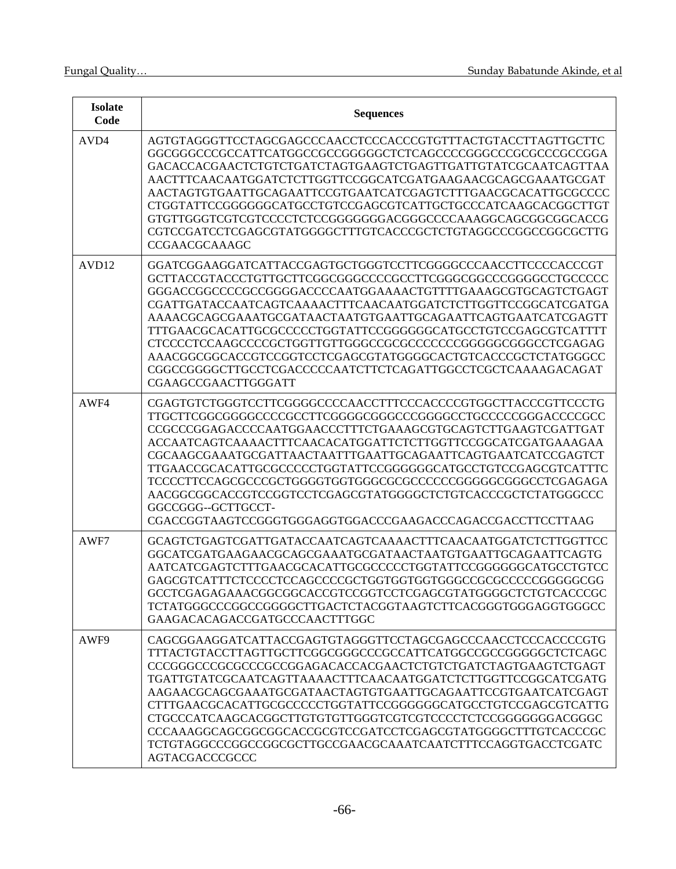| <b>Isolate</b><br>Code | <b>Sequences</b>                                                                                                                                                                                                                                                                                                                                                                                                                                                                                                                               |
|------------------------|------------------------------------------------------------------------------------------------------------------------------------------------------------------------------------------------------------------------------------------------------------------------------------------------------------------------------------------------------------------------------------------------------------------------------------------------------------------------------------------------------------------------------------------------|
| AVD4                   | AGTGTAGGGTTCCTAGCGAGCCCAACCTCCCACCCGTGTTTACTGTACCTTAGTTGCTTC<br>GACACCACGAACTCTGTCTGATCTAGTGAAGTCTGAGTTGATTGTATCGCAATCAGTTAA<br>AACTTTCAACAATGGATCTCTTGGTTCCGGCATCGATGAAGAACGCAGCGAAATGCGAT<br>AACTAGTGTGAATTGCAGAATTCCGTGAATCATCGAGTCTTTGAACGCACATTGCGCCCC<br>CTGGTATTCCGGGGGCATGCCTGTCCGAGCGTCATTGCTGCCCATCAAGCACGGCTTGT<br>GTGTTGGGTCGTCGTCCCCTCTCCGGGGGGACGGGCCCCAAAGGCAGCGGCGGCACCG<br><b>CCGAACGCAAAGC</b>                                                                                                                               |
| AVD <sub>12</sub>      | GGATCGGAAGGATCATTACCGAGTGCTGGGTCCTTCGGGGCCCAACCTTCCCCACCCGT<br>GCTTACCGTACCCTGTTGCTTCGGCGGGCCCCGCCTTCGGGCGGCCCGGGGCCTGCCCCC<br>GGGACCGGCCCCGCCGGGGACCCCAATGGAAAACTGTTTTGAAAGCGTGCAGTCTGAGT<br>CGATTGATACCAATCAGTCAAAACTTTCAACAATGGATCTCTTGGTTCCGGCATCGATGA<br>AAAACGCAGCGAAATGCGATAACTAATGTGAATTGCAGAATTCAGTGAATCATCGAGTT<br>TTTGAACGCACATTGCGCCCCCTGGTATTCCGGGGGGCATGCCTGTCCGAGCGTCATTTT<br>AAACGGCGGCACCGTCCGGTCCTCGAGCGTATGGGGCACTGTCACCCGCTCTATGGGCC<br>CGGCCGGGGCTTGCCTCGACCCCCAATCTTCTCAGATTGGCCTCGCTCAAAAGACAGAT<br>CGAAGCCGAACTTGGGATT |
| AWF4                   | CGAGTGTCTGGGTCCTTCGGGGCCCCAACCTTTCCCACCCCGTGGCTTACCCGTTCCCTG<br>TTGCTTCGGCGGGGCCCCGCCTTCGGGGCGGGCCCGGGGCCTGCCCCCGGGACCCCGCC<br>CCGCCCGGAGACCCCAATGGAACCCTTTCTGAAAGCGTGCAGTCTTGAAGTCGATTGAT<br>ACCAATCAGTCAAAACTTTCAACACATGGATTCTCTTGGTTCCGGCATCGATGAAAGAA<br>CGCAAGCGAAATGCGATTAACTAATTTGAATTGCAGAATTCAGTGAATCATCCGAGTCT<br>TTGAACCGCACATTGCGCCCCCTGGTATTCCGGGGGGCATGCCTGTCCGAGCGTCATTTC<br>TCCCCTTCCAGCGCCCGCTGGGGTGGTGGCGCGCCCCCCCGGGGGCGGGCCTCGAGAGA<br>AACGGCGGCACCGTCCGGTCCTCGAGCGTATGGGGCTCTGTCACCCGCTCTATGGGCCC<br>GGCCGGG--GCTTGCCT-   |
| AWF7                   | GCAGTCTGAGTCGATTGATACCAATCAGTCAAAACTTTCAACAATGGATCTCTTGGTTCC<br>GGCATCGATGAAGAACGCAGCGAAATGCGATAACTAATGTGAATTGCAGAATTCAGTG<br>AATCATCGAGTCTTTGAACGCACATTGCGCCCCCTGGTATTCCGGGGGGCATGCCTGTCC<br>GCCTCGAGAGAAACGGCGGCACCGTCCGGTCCTCGAGCGTATGGGGCTCTGTCACCCGC<br>TCTATGGGCCCGGCCGGGGCTTGACTCTACGGTAAGTCTTCACGGGTGGGAGGTGGGCC<br>GAAGACACAGACCGATGCCCAACTTTGGC                                                                                                                                                                                      |
| AWF9                   | CAGCGGAAGGATCATTACCGAGTGTAGGGTTCCTAGCGAGCCCAACCTCCCACCCCGTG<br>TTTACTGTACCTTAGTTGCTTCGGCGGGCCCGCCATTCATGGCCGCCGGGGGCTCTCAGC<br>TGATTGTATCGCAATCAGTTAAAACTTTCAACAATGGATCTCTTGGTTCCGGCATCGATG<br>AAGAACGCAGCGAAATGCGATAACTAGTGTGAATTGCAGAATTCCGTGAATCATCGAGT<br>CTTTGAACGCACATTGCGCCCCCTGGTATTCCGGGGGCATGCCTGTCCGAGCGTCATTG<br>CTGCCCATCAAGCACGGCTTGTGTGTTGGGTCGTCGTCCCCTCTCCGGGGGGGACGGGC<br>CCCAAAGGCAGCGGCGGCACCGCGTCCGATCCTCGAGCGTATGGGGCTTTGTCACCCGC<br>AGTACGACCCGCCC                                                                      |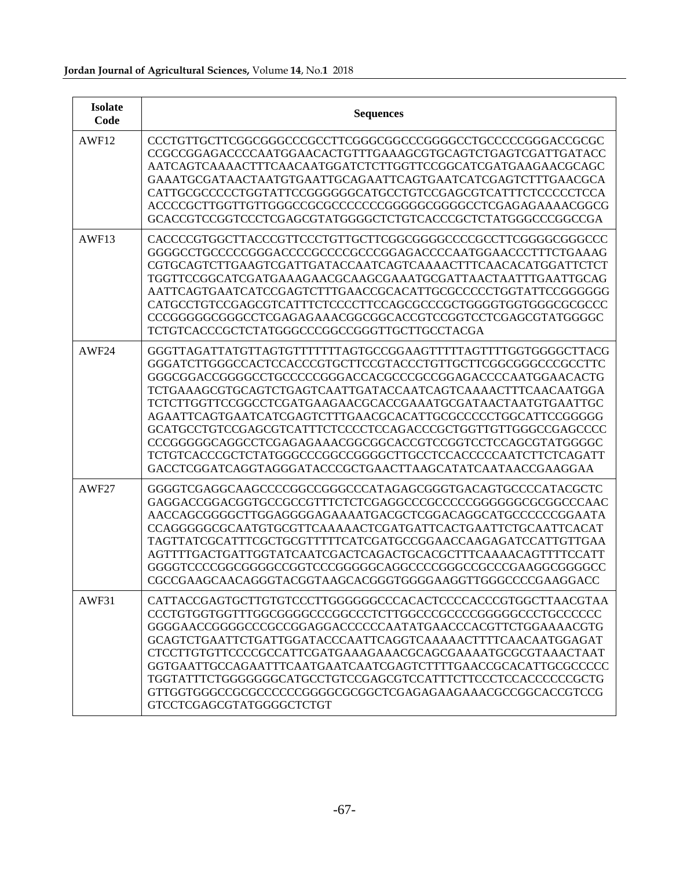| <b>Isolate</b><br>Code | <b>Sequences</b>                                                                                                                                                                                                                                                                                                                                                                                                                                                                                                                                                                                                                                    |
|------------------------|-----------------------------------------------------------------------------------------------------------------------------------------------------------------------------------------------------------------------------------------------------------------------------------------------------------------------------------------------------------------------------------------------------------------------------------------------------------------------------------------------------------------------------------------------------------------------------------------------------------------------------------------------------|
| AWF12                  | CCCTGTTGCTTCGGCGGGCCCGCCTTCGGGCGGCCCGGGGCCTGCCCCCGGGACCGCG<br>CCGCCGGAGACCCCAATGGAACACTGTTTGAAAGCGTGCAGTCTGAGTCGATTGATACC<br>AATCAGTCAAAACTTTCAACAATGGATCTCTTGGTTCCGGCATCGATGAAGAACGCAGC<br>GAAATGCGATAACTAATGTGAATTGCAGAATTCAGTGAATCATCGAGTCTTTGAACGCA<br>CATTGCGCCCCCTGGTATTCCGGGGGGCATGCCTGTCCGAGCGTCATTTCTCCCCCTCCA<br>ACCCCGCTTGGTTGTTGGGCCGCGCCCCCCCGGGGGGCGGGCCTCGAGAGAAAACGGCG<br>GCACCGTCCGGTCCCTCGAGCGTATGGGGCTCTGTCACCCGCTCTATGGGCCCGGCCGA                                                                                                                                                                                               |
| AWF13                  | GGGGCCTGCCCCCGGGACCCCGCCCCGCCCGGAGACCCCAATGGAACCCTTTCTGAAAG<br>CGTGCAGTCTTGAAGTCGATTGATACCAATCAGTCAAAACTTTCAACACATGGATTCTCT<br>TGGTTCCGGCATCGATGAAAGAACGCAAGCGAAATGCGATTAACTAATTTGAATTGCAG<br>AATTCAGTGAATCATCCGAGTCTTTGAACCGCACATTGCGCCCCCTGGTATTCCGGGGGG<br>CATGCCTGTCCGAGCGTCATTTCTCCCCTTCCAGCGCCCGCTGGGGTGGTGGCGCGCCC<br>CCCGGGGGGCGGGCCTCGAGAGAAACGGCGGCACCGTCCGGTCCTCGAGCGTATGGGGC<br>TCTGTCACCCGCTCTATGGGCCCGGCCGGGTTGCTTGCCTACGA                                                                                                                                                                                                            |
| AWF24                  | GGGTTAGATTATGTTAGTGTTTTTTTAGTGCCGGAAGTTTTTAGTTTTGGTGGGGCTTACG<br>GGGATCTTGGGCCACTCCACCCGTGCTTCCGTACCCTGTTGCTTCGGCGGGCCCGCCTTC<br>GGGCGGACCGGGGCCTGCCCCCGGGACCACGCCCGCCGGAGACCCCAATGGAACACTG<br>TCTGAAAGCGTGCAGTCTGAGTCAATTGATACCAATCAGTCAAAACTTTCAACAATGGA<br>TCTCTTGGTTCCGGCCTCGATGAAGAACGCACCGAAATGCGATAACTAATGTGAATTGC<br>AGAATTCAGTGAATCATCGAGTCTTTGAACGCACATTGCGCCCCCTGGCATTCCGGGGG<br>GCATGCCTGTCCGAGCGTCATTTCTCCCCTCCAGACCCGCTGGTTGTTGGGCCGAGCCCC<br>CCCGGGGGCAGGCCTCGAGAGAAACGGCGGCACCGTCCGGTCCTCCAGCGTATGGGGC<br>TCTGTCACCCGCTCTATGGGCCCGGCCGGGGCTTGCCTCCACCCCCAATCTTCTCAGATT<br>GACCTCGGATCAGGTAGGGATACCCGCTGAACTTAAGCATATCAATAACCGAAGGAA |
| AWF27                  | GGGGTCGAGGCAAGCCCCGGCCGGGCCCATAGAGCGGGTGACAGTGCCCCATACGCTC<br>AACCAGCGGGGCTTGGAGGGGAGAAAATGACGCTCGGACAGGCATGCCCCCCGGAATA<br>CCAGGGGGCGCAATGTGCGTTCAAAAACTCGATGATTCACTGAATTCTGCAATTCACAT<br>TAGTTATCGCATTTCGCTGCGTTTTTCATCGATGCCGGAACCAAGAGATCCATTGTTGAA<br>AGTTTTGACTGATTGGTATCAATCGACTCAGACTGCACGCTTTCAAAACAGTTTTCCATT<br>GGGGTCCCCGGCGGGGCCGGTCCCGGGGGCAGGCCCCGGGCCCCCCCAAGGCGGGCC<br>CGCCGAAGCAACAGGGTACGGTAAGCACGGGTGGGGAAGGTTGGGCCCCGAAGGACC                                                                                                                                                                                                   |
| AWF31                  | CATTACCGAGTGCTTGTGTCCCTTGGGGGGCCCACACTCCCCACCCGTGGCTTAACGTAA<br>GGGGAACCGGGGCCCGCCGGAGGACCCCCCAATATGAACCCACGTTCTGGAAAACGTG<br>GCAGTCTGAATTCTGATTGGATACCCAATTCAGGTCAAAAACTTTTCAACAATGGAGAT<br>CTCCTTGTGTTCCCCGCCATTCGATGAAAGAAACGCAGCGAAAATGCGCGTAAACTAAT<br>GGTGAATTGCCAGAATTTCAATGAATCAATCGAGTCTTTTGAACCGCACATTGCGCCCCC<br>TGGTATTTCTGGGGGGGCATGCCTGTCCGAGCGTCCATTTCTTCCCTCCACCCCCCGCTG<br>GTTGGTGGCCCGCCCCCCCCGGGGCGCGCTCGAGAGAAGAACGCCGGCACCGTCCG<br>GTCCTCGAGCGTATGGGGCTCTGT                                                                                                                                                                    |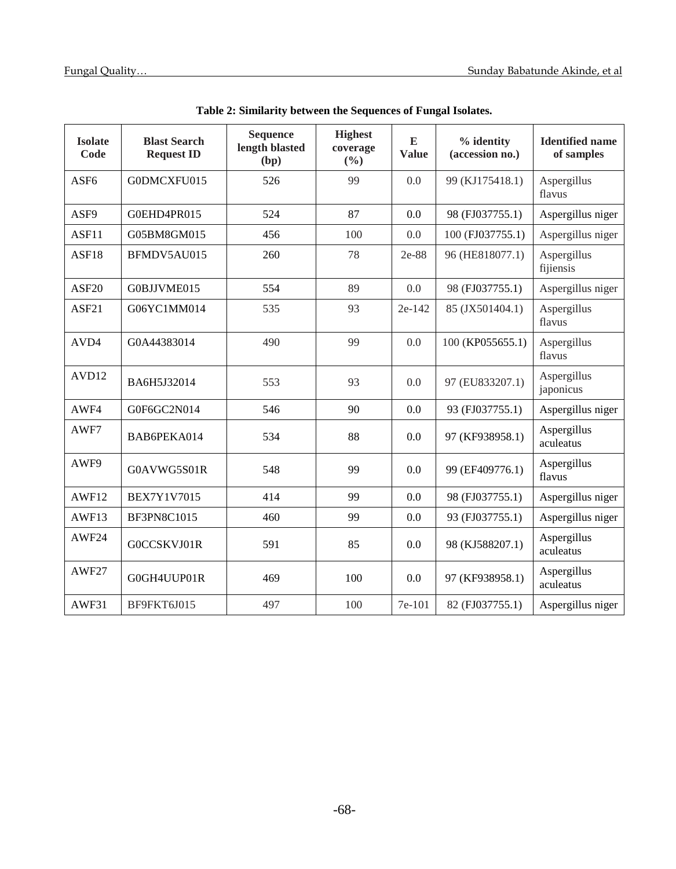| <b>Isolate</b><br>Code | <b>Blast Search</b><br><b>Request ID</b> | <b>Sequence</b><br>length blasted<br>(bp) | <b>Highest</b><br>coverage<br>(%) | E<br><b>Value</b> | % identity<br>(accession no.) | <b>Identified name</b><br>of samples |
|------------------------|------------------------------------------|-------------------------------------------|-----------------------------------|-------------------|-------------------------------|--------------------------------------|
| ASF <sub>6</sub>       | G0DMCXFU015                              | 526                                       | 99                                | 0.0               | 99 (KJ175418.1)               | Aspergillus<br>flavus                |
| ASF9                   | G0EHD4PR015                              | 524                                       | 87                                | 0.0               | 98 (FJ037755.1)               | Aspergillus niger                    |
| ASF11                  | G05BM8GM015                              | 456                                       | 100                               | 0.0               | 100 (FJ037755.1)              | Aspergillus niger                    |
| ASF18                  | BFMDV5AU015                              | 260                                       | 78                                | 2e-88             | 96 (HE818077.1)               | Aspergillus<br>fijiensis             |
| ASF <sub>20</sub>      | G0BJJVME015                              | 554                                       | 89                                | 0.0               | 98 (FJ037755.1)               | Aspergillus niger                    |
| ASF21                  | G06YC1MM014                              | 535                                       | 93                                | 2e-142            | 85 (JX501404.1)               | Aspergillus<br>flavus                |
| AVD4                   | G0A44383014                              | 490                                       | 99                                | 0.0               | 100 (KP055655.1)              | Aspergillus<br>flavus                |
| AVD12                  | BA6H5J32014                              | 553                                       | 93                                | 0.0               | 97 (EU833207.1)               | Aspergillus<br>japonicus             |
| AWF4                   | G0F6GC2N014                              | 546                                       | 90                                | 0.0               | 93 (FJ037755.1)               | Aspergillus niger                    |
| AWF7                   | BAB6PEKA014                              | 534                                       | 88                                | 0.0               | 97 (KF938958.1)               | Aspergillus<br>aculeatus             |
| AWF9                   | G0AVWG5S01R                              | 548                                       | 99                                | 0.0               | 99 (EF409776.1)               | Aspergillus<br>flavus                |
| AWF12                  | <b>BEX7Y1V7015</b>                       | 414                                       | 99                                | 0.0               | 98 (FJ037755.1)               | Aspergillus niger                    |
| AWF13                  | <b>BF3PN8C1015</b>                       | 460                                       | 99                                | 0.0               | 93 (FJ037755.1)               | Aspergillus niger                    |
| AWF24                  | G0CCSKVJ01R                              | 591                                       | 85                                | 0.0               | 98 (KJ588207.1)               | Aspergillus<br>aculeatus             |
| AWF27                  | G0GH4UUP01R                              | 469                                       | 100                               | 0.0               | 97 (KF938958.1)               | Aspergillus<br>aculeatus             |
| AWF31                  | BF9FKT6J015                              | 497                                       | 100                               | 7e-101            | 82 (FJ037755.1)               | Aspergillus niger                    |

**Table 2: Similarity between the Sequences of Fungal Isolates.**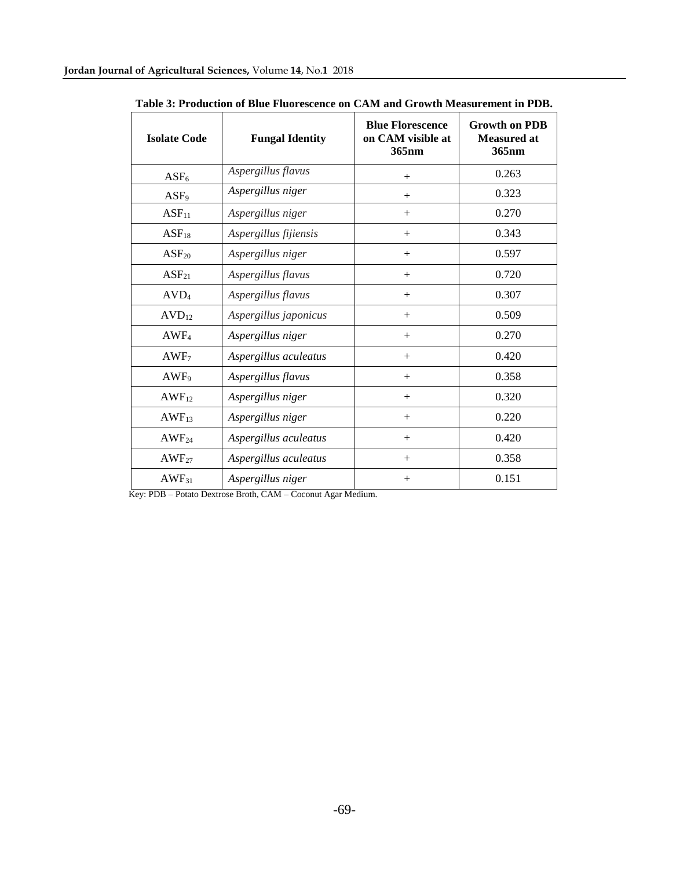| <b>Isolate Code</b> | <b>Fungal Identity</b> | <b>Blue Florescence</b><br>on CAM visible at<br>365 <sub>nm</sub> | <b>Growth on PDB</b><br><b>Measured at</b><br>365 <sub>nm</sub> |
|---------------------|------------------------|-------------------------------------------------------------------|-----------------------------------------------------------------|
| $ASF_6$             | Aspergillus flavus     | $^{+}$                                                            | 0.263                                                           |
| ASF <sub>9</sub>    | Aspergillus niger      | $+$                                                               | 0.323                                                           |
| $ASF_{11}$          | Aspergillus niger      | $^{+}$                                                            | 0.270                                                           |
| $ASF_{18}$          | Aspergillus fijiensis  | $^{+}$                                                            | 0.343                                                           |
| $ASF_{20}$          | Aspergillus niger      | $^{+}$                                                            | 0.597                                                           |
| $ASF_{21}$          | Aspergillus flavus     | $^{+}$                                                            | 0.720                                                           |
| AVD <sub>4</sub>    | Aspergillus flavus     | $^{+}$                                                            | 0.307                                                           |
| $AVD_{12}$          | Aspergillus japonicus  | $^{+}$                                                            | 0.509                                                           |
| AWF <sub>4</sub>    | Aspergillus niger      | $^{+}$                                                            | 0.270                                                           |
| AWF <sub>7</sub>    | Aspergillus aculeatus  | $^{+}$                                                            | 0.420                                                           |
| AWF <sub>9</sub>    | Aspergillus flavus     | $^{+}$                                                            | 0.358                                                           |
| $AWF_{12}$          | Aspergillus niger      | $^{+}$                                                            | 0.320                                                           |
| AWF <sub>13</sub>   | Aspergillus niger      | $^{+}$                                                            | 0.220                                                           |
| AWF <sub>24</sub>   | Aspergillus aculeatus  | $^{+}$                                                            | 0.420                                                           |
| AWF <sub>27</sub>   | Aspergillus aculeatus  | $^{+}$                                                            | 0.358                                                           |
| $AWF_{31}$          | Aspergillus niger      | $^{+}$                                                            | 0.151                                                           |

**Table 3: Production of Blue Fluorescence on CAM and Growth Measurement in PDB.**

Key: PDB – Potato Dextrose Broth, CAM – Coconut Agar Medium.